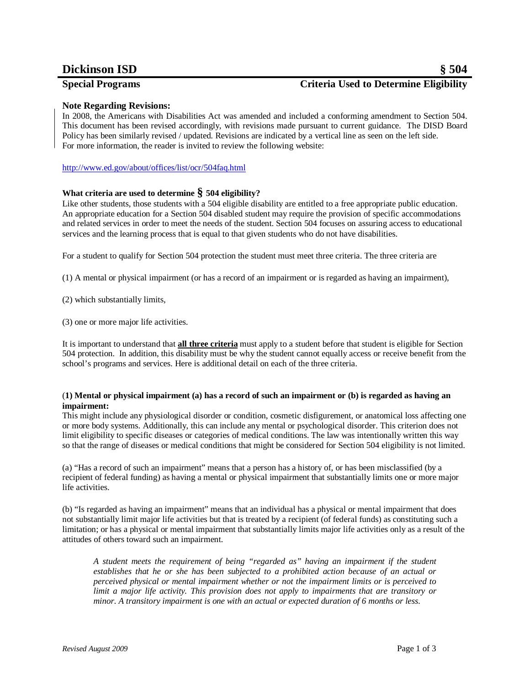# **Dickinson ISD § 504**

# **Special Programs Criteria Used to Determine Eligibility**

## **Note Regarding Revisions:**

In 2008, the Americans with Disabilities Act was amended and included a conforming amendment to Section 504. This document has been revised accordingly, with revisions made pursuant to current guidance. The DISD Board Policy has been similarly revised / updated. Revisions are indicated by a vertical line as seen on the left side. For more information, the reader is invited to review the following website:

<http://www.ed.gov/about/offices/list/ocr/504faq.html>

## **What criteria are used to determine § 504 eligibility?**

Like other students, those students with a 504 eligible disability are entitled to a free appropriate public education. An appropriate education for a Section 504 disabled student may require the provision of specific accommodations and related services in order to meet the needs of the student. Section 504 focuses on assuring access to educational services and the learning process that is equal to that given students who do not have disabilities.

For a student to qualify for Section 504 protection the student must meet three criteria. The three criteria are

(1) A mental or physical impairment (or has a record of an impairment or is regarded as having an impairment),

(2) which substantially limits,

(3) one or more major life activities.

It is important to understand that **all three criteria** must apply to a student before that student is eligible for Section 504 protection. In addition, this disability must be why the student cannot equally access or receive benefit from the school's programs and services. Here is additional detail on each of the three criteria.

### (**1) Mental or physical impairment (a) has a record of such an impairment or (b) is regarded as having an impairment:**

This might include any physiological disorder or condition, cosmetic disfigurement, or anatomical loss affecting one or more body systems. Additionally, this can include any mental or psychological disorder. This criterion does not limit eligibility to specific diseases or categories of medical conditions. The law was intentionally written this way so that the range of diseases or medical conditions that might be considered for Section 504 eligibility is not limited.

(a) "Has a record of such an impairment" means that a person has a history of, or has been misclassified (by a recipient of federal funding) as having a mental or physical impairment that substantially limits one or more major life activities.

(b) "Is regarded as having an impairment" means that an individual has a physical or mental impairment that does not substantially limit major life activities but that is treated by a recipient (of federal funds) as constituting such a limitation; or has a physical or mental impairment that substantially limits major life activities only as a result of the attitudes of others toward such an impairment.

*A student meets the requirement of being "regarded as" having an impairment if the student establishes that he or she has been subjected to a prohibited action because of an actual or perceived physical or mental impairment whether or not the impairment limits or is perceived to limit a major life activity. This provision does not apply to impairments that are transitory or minor. A transitory impairment is one with an actual or expected duration of 6 months or less.*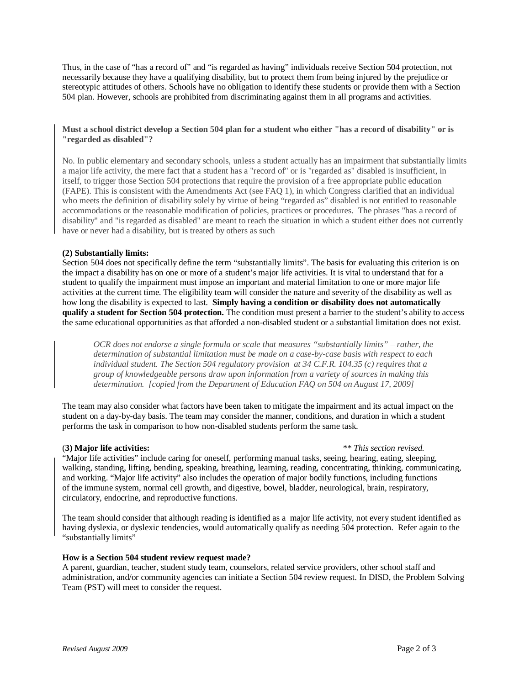Thus, in the case of "has a record of" and "is regarded as having" individuals receive Section 504 protection, not necessarily because they have a qualifying disability, but to protect them from being injured by the prejudice or stereotypic attitudes of others. Schools have no obligation to identify these students or provide them with a Section 504 plan. However, schools are prohibited from discriminating against them in all programs and activities.

**Must a school district develop a Section 504 plan for a student who either "has a record of disability" or is "regarded as disabled"?**

No. In public elementary and secondary schools, unless a student actually has an impairment that substantially limits a major life activity, the mere fact that a student has a "record of" or is "regarded as" disabled is insufficient, in itself, to trigger those Section 504 protections that require the provision of a free appropriate public education (FAPE). This is consistent with the Amendments Act (see FAQ 1), in which Congress clarified that an individual who meets the definition of disability solely by virtue of being "regarded as" disabled is not entitled to reasonable accommodations or the reasonable modification of policies, practices or procedures. The phrases "has a record of disability" and "is regarded as disabled" are meant to reach the situation in which a student either does not currently have or never had a disability, but is treated by others as such

#### **(2) Substantially limits:**

Section 504 does not specifically define the term "substantially limits". The basis for evaluating this criterion is on the impact a disability has on one or more of a student's major life activities. It is vital to understand that for a student to qualify the impairment must impose an important and material limitation to one or more major life activities at the current time. The eligibility team will consider the nature and severity of the disability as well as how long the disability is expected to last. **Simply having a condition or disability does not automatically qualify a student for Section 504 protection.** The condition must present a barrier to the student's ability to access the same educational opportunities as that afforded a non-disabled student or a substantial limitation does not exist.

*OCR does not endorse a single formula or scale that measures "substantially limits" – rather, the determination of substantial limitation must be made on a case-by-case basis with respect to each individual student. The Section 504 regulatory provision at 34 C.F.R. 104.35 (c) requires that a group of knowledgeable persons draw upon information from a variety of sources in making this determination. [copied from the Department of Education FAQ on 504 on August 17, 2009]*

The team may also consider what factors have been taken to mitigate the impairment and its actual impact on the student on a day-by-day basis. The team may consider the manner, conditions, and duration in which a student performs the task in comparison to how non-disabled students perform the same task.

#### (**3) Major life activities:** *\*\* This section revised.*

"Major life activities" include caring for oneself, performing manual tasks, seeing, hearing, eating, sleeping, walking, standing, lifting, bending, speaking, breathing, learning, reading, concentrating, thinking, communicating, and working. "Major life activity" also includes the operation of major bodily functions, including functions of the immune system, normal cell growth, and digestive, bowel, bladder, neurological, brain, respiratory, circulatory, endocrine, and reproductive functions.

The team should consider that although reading is identified as a major life activity, not every student identified as having dyslexia, or dyslexic tendencies, would automatically qualify as needing 504 protection. Refer again to the "substantially limits"

#### **How is a Section 504 student review request made?**

A parent, guardian, teacher, student study team, counselors, related service providers, other school staff and administration, and/or community agencies can initiate a Section 504 review request. In DISD, the Problem Solving Team (PST) will meet to consider the request.